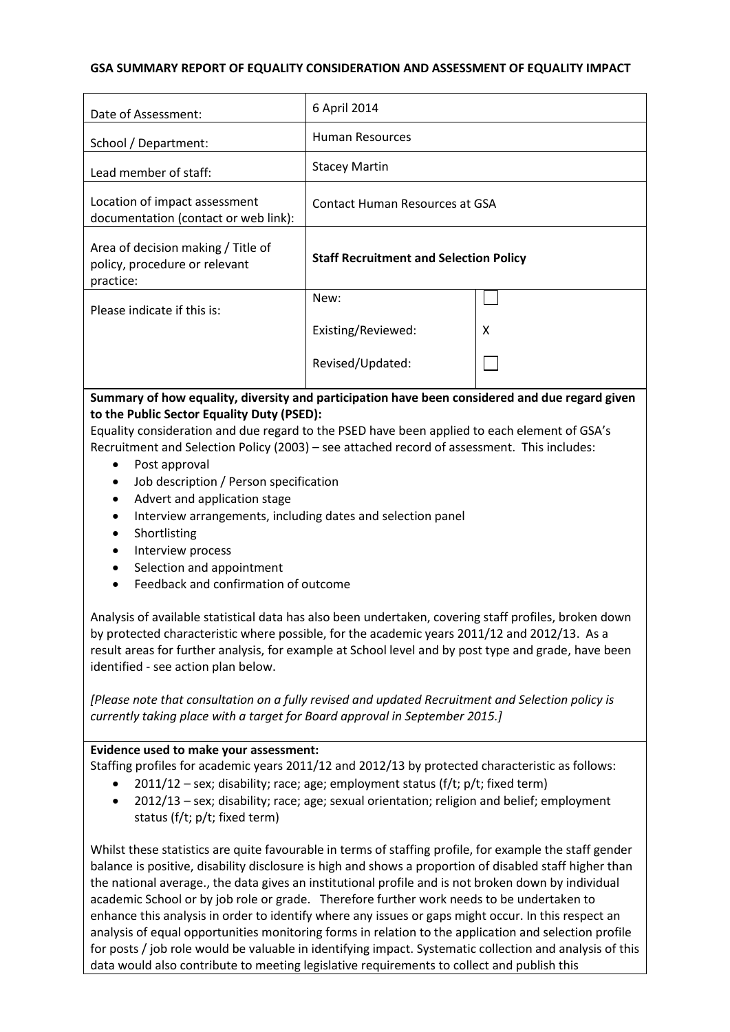#### **GSA SUMMARY REPORT OF EQUALITY CONSIDERATION AND ASSESSMENT OF EQUALITY IMPACT**

| Date of Assessment:                                                              | 6 April 2014                                  |   |
|----------------------------------------------------------------------------------|-----------------------------------------------|---|
| School / Department:                                                             | <b>Human Resources</b>                        |   |
| Lead member of staff:                                                            | <b>Stacey Martin</b>                          |   |
| Location of impact assessment<br>documentation (contact or web link):            | Contact Human Resources at GSA                |   |
| Area of decision making / Title of<br>policy, procedure or relevant<br>practice: | <b>Staff Recruitment and Selection Policy</b> |   |
| Please indicate if this is:                                                      | New:                                          |   |
|                                                                                  | Existing/Reviewed:                            | X |
|                                                                                  | Revised/Updated:                              |   |

# **Summary of how equality, diversity and participation have been considered and due regard given to the Public Sector Equality Duty (PSED):**

Equality consideration and due regard to the PSED have been applied to each element of GSA's Recruitment and Selection Policy (2003) – see attached record of assessment. This includes:

- Post approval
- Job description / Person specification
- Advert and application stage
- Interview arrangements, including dates and selection panel
- Shortlisting
- Interview process
- Selection and appointment
- Feedback and confirmation of outcome

Analysis of available statistical data has also been undertaken, covering staff profiles, broken down by protected characteristic where possible, for the academic years 2011/12 and 2012/13. As a result areas for further analysis, for example at School level and by post type and grade, have been identified - see action plan below.

*[Please note that consultation on a fully revised and updated Recruitment and Selection policy is currently taking place with a target for Board approval in September 2015.]*

## **Evidence used to make your assessment:**

Staffing profiles for academic years 2011/12 and 2012/13 by protected characteristic as follows:

- 2011/12 sex; disability; race; age; employment status (f/t; p/t; fixed term)
- 2012/13 sex; disability; race; age; sexual orientation; religion and belief; employment status (f/t; p/t; fixed term)

Whilst these statistics are quite favourable in terms of staffing profile, for example the staff gender balance is positive, disability disclosure is high and shows a proportion of disabled staff higher than the national average., the data gives an institutional profile and is not broken down by individual academic School or by job role or grade. Therefore further work needs to be undertaken to enhance this analysis in order to identify where any issues or gaps might occur. In this respect an analysis of equal opportunities monitoring forms in relation to the application and selection profile for posts / job role would be valuable in identifying impact. Systematic collection and analysis of this data would also contribute to meeting legislative requirements to collect and publish this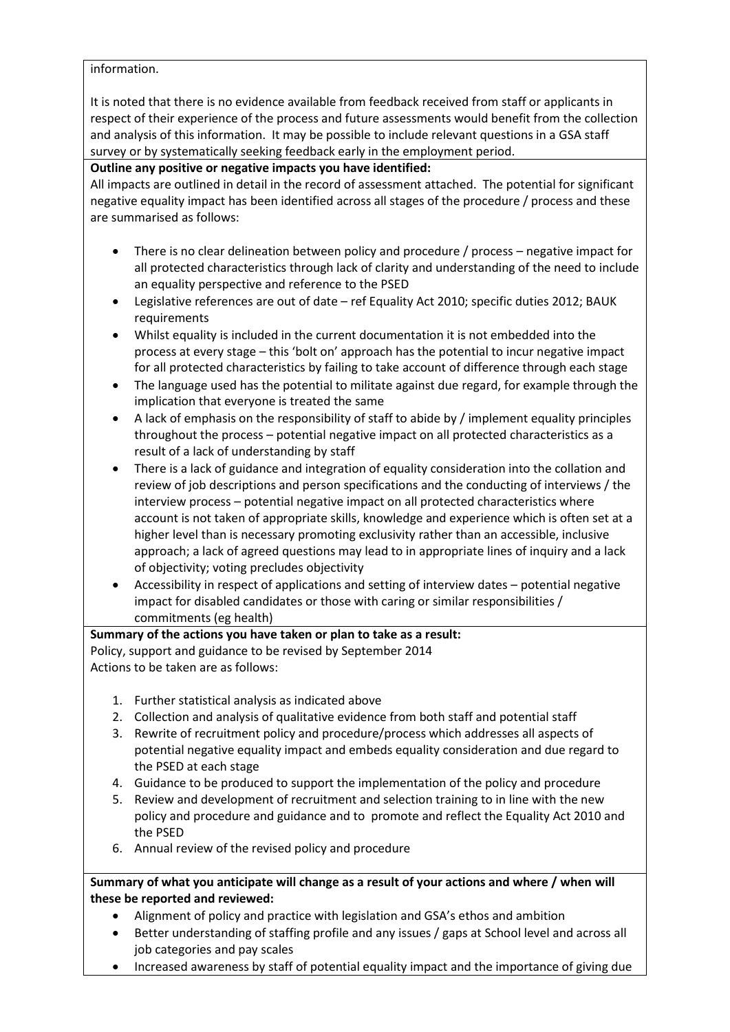#### information.

It is noted that there is no evidence available from feedback received from staff or applicants in respect of their experience of the process and future assessments would benefit from the collection and analysis of this information. It may be possible to include relevant questions in a GSA staff survey or by systematically seeking feedback early in the employment period.

## **Outline any positive or negative impacts you have identified:**

All impacts are outlined in detail in the record of assessment attached. The potential for significant negative equality impact has been identified across all stages of the procedure / process and these are summarised as follows:

- There is no clear delineation between policy and procedure / process negative impact for all protected characteristics through lack of clarity and understanding of the need to include an equality perspective and reference to the PSED
- Legislative references are out of date ref Equality Act 2010; specific duties 2012; BAUK requirements
- Whilst equality is included in the current documentation it is not embedded into the process at every stage – this 'bolt on' approach has the potential to incur negative impact for all protected characteristics by failing to take account of difference through each stage
- The language used has the potential to militate against due regard, for example through the implication that everyone is treated the same
- A lack of emphasis on the responsibility of staff to abide by / implement equality principles throughout the process – potential negative impact on all protected characteristics as a result of a lack of understanding by staff
- There is a lack of guidance and integration of equality consideration into the collation and review of job descriptions and person specifications and the conducting of interviews / the interview process – potential negative impact on all protected characteristics where account is not taken of appropriate skills, knowledge and experience which is often set at a higher level than is necessary promoting exclusivity rather than an accessible, inclusive approach; a lack of agreed questions may lead to in appropriate lines of inquiry and a lack of objectivity; voting precludes objectivity
- Accessibility in respect of applications and setting of interview dates potential negative impact for disabled candidates or those with caring or similar responsibilities / commitments (eg health)

## **Summary of the actions you have taken or plan to take as a result:**

Policy, support and guidance to be revised by September 2014 Actions to be taken are as follows:

- 1. Further statistical analysis as indicated above
- 2. Collection and analysis of qualitative evidence from both staff and potential staff
- 3. Rewrite of recruitment policy and procedure/process which addresses all aspects of potential negative equality impact and embeds equality consideration and due regard to the PSED at each stage
- 4. Guidance to be produced to support the implementation of the policy and procedure
- 5. Review and development of recruitment and selection training to in line with the new policy and procedure and guidance and to promote and reflect the Equality Act 2010 and the PSED
- 6. Annual review of the revised policy and procedure

## **Summary of what you anticipate will change as a result of your actions and where / when will these be reported and reviewed:**

- Alignment of policy and practice with legislation and GSA's ethos and ambition
- Better understanding of staffing profile and any issues / gaps at School level and across all job categories and pay scales
- Increased awareness by staff of potential equality impact and the importance of giving due